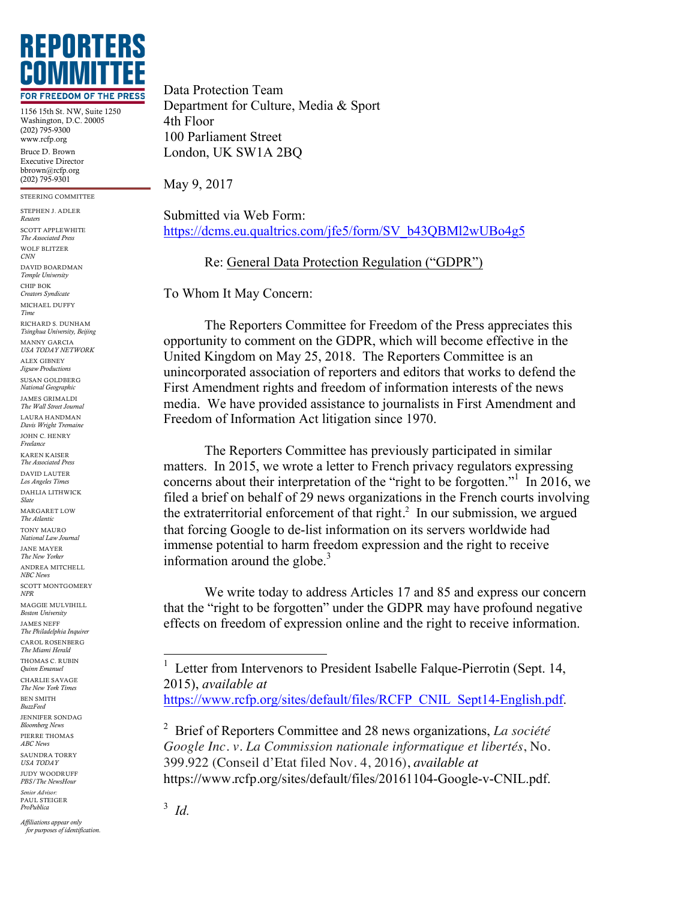

1156 15th St. NW, Suite 1250 Washington, D.C. 20005 (202) 795-9300 www.rcfp.org Bruce D. Brown Executive Director bbrown@rcfp.org (202) 795-9301

STEERING COMMITTEE

STEPHEN J. ADLER *Reuters* SCOTT APPLEWHITE *The Associated Press* WOLF BLITZER *CNN* DAVID BOARDMAN *Temple University* CHIP BOK *Creators Syndicate* MICHAEL DUFFY *Time* RICHARD S. DUNHAM *Tsinghua University, Beijing*

MANNY GARCIA *USA TODAY NETWORK* ALEX GIBNEY

*Jigsaw Productions* SUSAN GOLDBERG

*National Geographic* JAMES GRIMALDI

*The Wall Street Journal* LAURA HANDMAN *Davis Wright Tremaine*

JOHN C. HENRY *Freelance*

KAREN KAISER *The Associated Press* DAVID LAUTER

*Los Angeles Times* DAHLIA LITHWICK *Slate*

MARGARET LOW *The Atlantic*

TONY MAURO *National Law Journal*

JANE MAYER *The New Yorker*

ANDREA MITCHELL *NBC News*

SCOTT MONTGOMERY *NPR*

MAGGIE MULVIHILL *Boston University*

JAMES NEFF *The Philadelphia Inquirer* CAROL ROSENBERG

*The Miami Herald* THOMAS C. RUBIN

*Quinn Emanuel* CHARLIE SAVAGE

*The New York Times* BEN SMITH

*BuzzFeed* JENNIFER SONDAG

*Bloomberg News* PIERRE THOMAS

*ABC News* SAUNDRA TORRY

*USA TODAY* JUDY WOODRUFF

*PBS/The NewsHour Senior Advisor:*

PAUL STEIGER *ProPublica*

*Affiliations appear only for purposes of identification.*

Data Protection Team Department for Culture, Media & Sport 4th Floor 100 Parliament Street London, UK SW1A 2BQ

May 9, 2017

Submitted via Web Form: https://dcms.eu.qualtrics.com/jfe5/form/SV\_b43QBMl2wUBo4g5

Re: General Data Protection Regulation ("GDPR")

To Whom It May Concern:

The Reporters Committee for Freedom of the Press appreciates this opportunity to comment on the GDPR, which will become effective in the United Kingdom on May 25, 2018. The Reporters Committee is an unincorporated association of reporters and editors that works to defend the First Amendment rights and freedom of information interests of the news media. We have provided assistance to journalists in First Amendment and Freedom of Information Act litigation since 1970.

The Reporters Committee has previously participated in similar matters. In 2015, we wrote a letter to French privacy regulators expressing concerns about their interpretation of the "right to be forgotten." In 2016, we filed a brief on behalf of 29 news organizations in the French courts involving the extraterritorial enforcement of that right.<sup>2</sup> In our submission, we argued that forcing Google to de-list information on its servers worldwide had immense potential to harm freedom expression and the right to receive information around the globe. $3$ 

We write today to address Articles 17 and 85 and express our concern that the "right to be forgotten" under the GDPR may have profound negative effects on freedom of expression online and the right to receive information.

399.922 (Conseil d'Etat filed Nov. 4, 2016), *available at*

https://www.rcfp.org/sites/default/files/20161104-Google-v-CNIL.pdf.

 <sup>1</sup> Letter from Intervenors to President Isabelle Falque-Pierrotin (Sept. 14, 2015), *available at* https://www.rcfp.org/sites/default/files/RCFP\_CNIL\_Sept14-English.pdf.

<sup>2</sup> Brief of Reporters Committee and 28 news organizations, *La société Google Inc. v. La Commission nationale informatique et libertés*, No.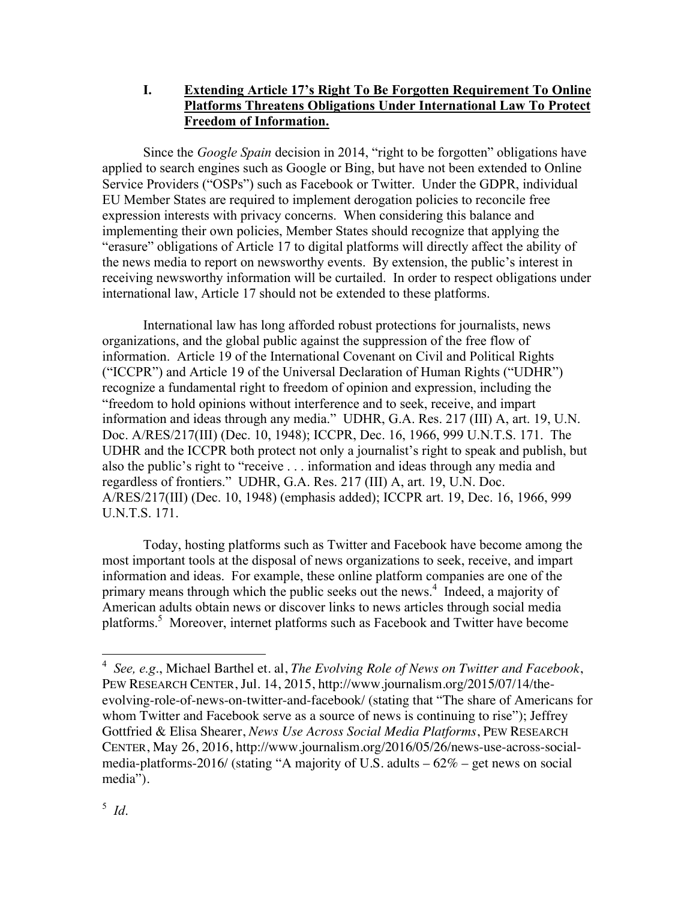**I. Extending Article 17's Right To Be Forgotten Requirement To Online Platforms Threatens Obligations Under International Law To Protect Freedom of Information.**

Since the *Google Spain* decision in 2014, "right to be forgotten" obligations have applied to search engines such as Google or Bing, but have not been extended to Online Service Providers ("OSPs") such as Facebook or Twitter. Under the GDPR, individual EU Member States are required to implement derogation policies to reconcile free expression interests with privacy concerns. When considering this balance and implementing their own policies, Member States should recognize that applying the "erasure" obligations of Article 17 to digital platforms will directly affect the ability of the news media to report on newsworthy events. By extension, the public's interest in receiving newsworthy information will be curtailed. In order to respect obligations under international law, Article 17 should not be extended to these platforms.

International law has long afforded robust protections for journalists, news organizations, and the global public against the suppression of the free flow of information. Article 19 of the International Covenant on Civil and Political Rights ("ICCPR") and Article 19 of the Universal Declaration of Human Rights ("UDHR") recognize a fundamental right to freedom of opinion and expression, including the "freedom to hold opinions without interference and to seek, receive, and impart information and ideas through any media." UDHR, G.A. Res. 217 (III) A, art. 19, U.N. Doc. A/RES/217(III) (Dec. 10, 1948); ICCPR, Dec. 16, 1966, 999 U.N.T.S. 171. The UDHR and the ICCPR both protect not only a journalist's right to speak and publish, but also the public's right to "receive . . . information and ideas through any media and regardless of frontiers." UDHR, G.A. Res. 217 (III) A, art. 19, U.N. Doc. A/RES/217(III) (Dec. 10, 1948) (emphasis added); ICCPR art. 19, Dec. 16, 1966, 999 U.N.T.S. 171.

Today, hosting platforms such as Twitter and Facebook have become among the most important tools at the disposal of news organizations to seek, receive, and impart information and ideas. For example, these online platform companies are one of the primary means through which the public seeks out the news.<sup>4</sup> Indeed, a majority of American adults obtain news or discover links to news articles through social media platforms.5 Moreover, internet platforms such as Facebook and Twitter have become

 <sup>4</sup> *See, e.g*., Michael Barthel et. al, *The Evolving Role of News on Twitter and Facebook*, PEW RESEARCH CENTER, Jul. 14, 2015, http://www.journalism.org/2015/07/14/theevolving-role-of-news-on-twitter-and-facebook/ (stating that "The share of Americans for whom Twitter and Facebook serve as a source of news is continuing to rise"); Jeffrey Gottfried & Elisa Shearer, *News Use Across Social Media Platforms*, PEW RESEARCH CENTER, May 26, 2016, http://www.journalism.org/2016/05/26/news-use-across-socialmedia-platforms-2016/ (stating "A majority of U.S. adults – 62% – get news on social media").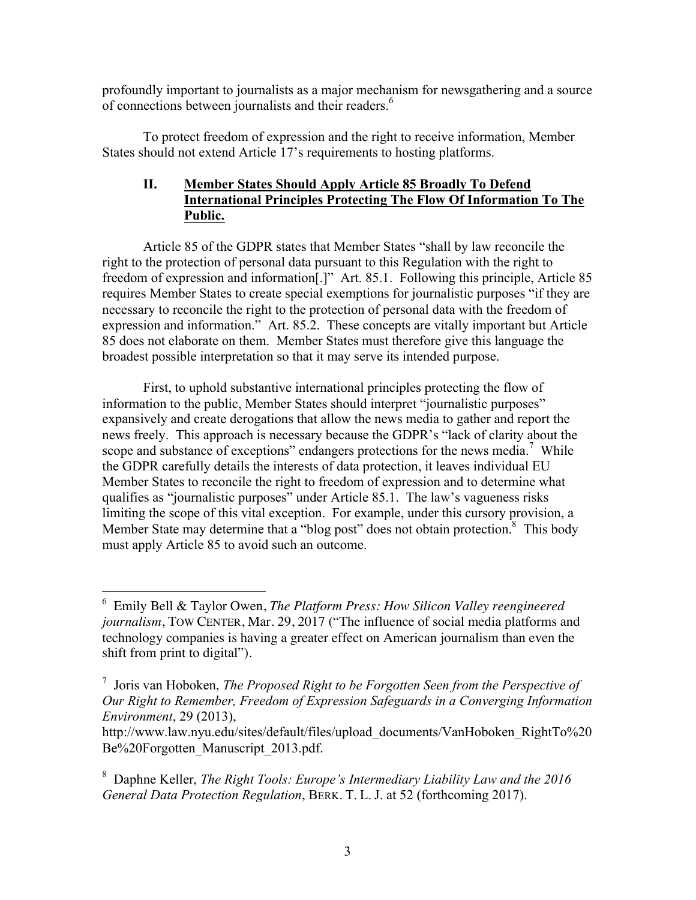profoundly important to journalists as a major mechanism for newsgathering and a source of connections between journalists and their readers.<sup>6</sup>

To protect freedom of expression and the right to receive information, Member States should not extend Article 17's requirements to hosting platforms.

## **II. Member States Should Apply Article 85 Broadly To Defend International Principles Protecting The Flow Of Information To The Public.**

Article 85 of the GDPR states that Member States "shall by law reconcile the right to the protection of personal data pursuant to this Regulation with the right to freedom of expression and information[.]" Art. 85.1. Following this principle, Article 85 requires Member States to create special exemptions for journalistic purposes "if they are necessary to reconcile the right to the protection of personal data with the freedom of expression and information." Art. 85.2. These concepts are vitally important but Article 85 does not elaborate on them. Member States must therefore give this language the broadest possible interpretation so that it may serve its intended purpose.

First, to uphold substantive international principles protecting the flow of information to the public, Member States should interpret "journalistic purposes" expansively and create derogations that allow the news media to gather and report the news freely. This approach is necessary because the GDPR's "lack of clarity about the scope and substance of exceptions" endangers protections for the news media.<sup>7</sup> While the GDPR carefully details the interests of data protection, it leaves individual EU Member States to reconcile the right to freedom of expression and to determine what qualifies as "journalistic purposes" under Article 85.1. The law's vagueness risks limiting the scope of this vital exception. For example, under this cursory provision, a Member State may determine that a "blog post" does not obtain protection.<sup>8</sup> This body must apply Article 85 to avoid such an outcome.

 <sup>6</sup> Emily Bell & Taylor Owen, *The Platform Press: How Silicon Valley reengineered journalism*, TOW CENTER, Mar. 29, 2017 ("The influence of social media platforms and technology companies is having a greater effect on American journalism than even the shift from print to digital").

<sup>7</sup> Joris van Hoboken, *The Proposed Right to be Forgotten Seen from the Perspective of Our Right to Remember, Freedom of Expression Safeguards in a Converging Information Environment*, 29 (2013),

http://www.law.nyu.edu/sites/default/files/upload\_documents/VanHoboken\_RightTo%20 Be%20Forgotten\_Manuscript\_2013.pdf.

<sup>8</sup> Daphne Keller, *The Right Tools: Europe's Intermediary Liability Law and the 2016 General Data Protection Regulation*, BERK. T. L. J. at 52 (forthcoming 2017).